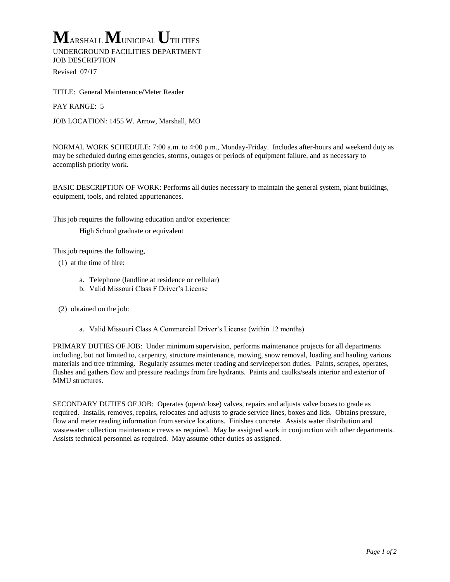## **M**ARSHALL **M**UNICIPAL **U**TILITIES UNDERGROUND FACILITIES DEPARTMENT

JOB DESCRIPTION

Revised 07/17

TITLE: General Maintenance**/**Meter Reader

PAY RANGE: 5

JOB LOCATION: 1455 W. Arrow, Marshall, MO

NORMAL WORK SCHEDULE: 7:00 a.m. to 4:00 p.m., Monday-Friday. Includes after-hours and weekend duty as may be scheduled during emergencies, storms, outages or periods of equipment failure, and as necessary to accomplish priority work.

BASIC DESCRIPTION OF WORK: Performs all duties necessary to maintain the general system, plant buildings, equipment, tools, and related appurtenances.

This job requires the following education and/or experience:

High School graduate or equivalent

This job requires the following,

- (1) at the time of hire:
	- a. Telephone (landline at residence or cellular)
	- b. Valid Missouri Class F Driver's License
- (2) obtained on the job:
	- a. Valid Missouri Class A Commercial Driver's License (within 12 months)

PRIMARY DUTIES OF JOB: Under minimum supervision, performs maintenance projects for all departments including, but not limited to, carpentry, structure maintenance, mowing, snow removal, loading and hauling various materials and tree trimming. Regularly assumes meter reading and serviceperson duties.Paints, scrapes, operates, flushes and gathers flow and pressure readings from fire hydrants. Paints and caulks/seals interior and exterior of MMU structures.

SECONDARY DUTIES OF JOB: Operates (open/close) valves, repairs and adjusts valve boxes to grade as required. Installs, removes, repairs, relocates and adjusts to grade service lines, boxes and lids. Obtains pressure, flow and meter reading information from service locations. Finishes concrete. Assists water distribution and wastewater collection maintenance crews as required. May be assigned work in conjunction with other departments. Assists technical personnel as required. May assume other duties as assigned.